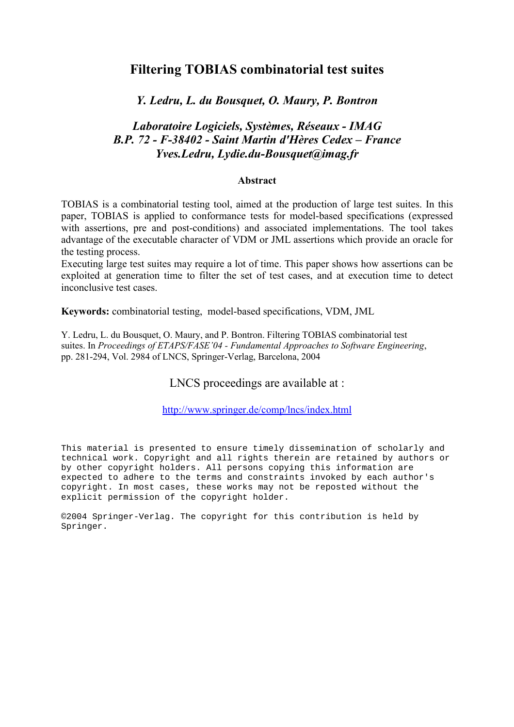# Filtering TOBIAS combinatorial test suites

# Y. Ledru, L. du Bousquet, O. Maury, P. Bontron

# Laboratoire Logiciels, Systèmes, Réseaux - IMAG B.P. 72 - F-38402 - Saint Martin d'Hères Cedex – France Yves.Ledru, Lydie.du-Bousquet@imag.fr

## Abstract

TOBIAS is a combinatorial testing tool, aimed at the production of large test suites. In this paper, TOBIAS is applied to conformance tests for model-based specifications (expressed with assertions, pre and post-conditions) and associated implementations. The tool takes advantage of the executable character of VDM or JML assertions which provide an oracle for the testing process.

Executing large test suites may require a lot of time. This paper shows how assertions can be exploited at generation time to filter the set of test cases, and at execution time to detect inconclusive test cases.

Keywords: combinatorial testing, model-based specifications, VDM, JML

Y. Ledru, L. du Bousquet, O. Maury, and P. Bontron. Filtering TOBIAS combinatorial test suites. In Proceedings of ETAPS/FASE'04 - Fundamental Approaches to Software Engineering, pp. 281-294, Vol. 2984 of LNCS, Springer-Verlag, Barcelona, 2004

# LNCS proceedings are available at :

http://www.springer.de/comp/lncs/index.html

This material is presented to ensure timely dissemination of scholarly and technical work. Copyright and all rights therein are retained by authors or by other copyright holders. All persons copying this information are expected to adhere to the terms and constraints invoked by each author's copyright. In most cases, these works may not be reposted without the explicit permission of the copyright holder.

©2004 Springer-Verlag. The copyright for this contribution is held by Springer.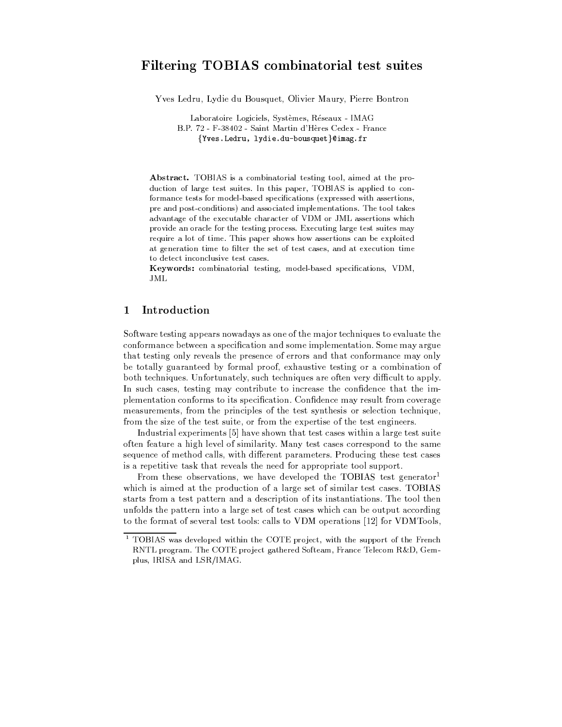## Filtering TOBIAS combinatorial test suites

Yves Ledru, Lydie du Bousquet, Olivier Maury, Pierre Bontron

Laboratoire Logiciels, Systèmes, Réseaux - IMAG B.P. 72 - F-38402 - Saint Martin d'Hères Cedex - France {Yves.Ledru, lydie.du-bousquet}@imag.fr

Abstract. TOBIAS is a combinatorial testing tool, aimed at the production of large test suites. In this paper, TOBIAS is applied to conformance tests for model-based specifications (expressed with assertions, pre and post-conditions) and associated implementations. The tool takes advantage of the executable character of VDM or JML assertions which provide an oracle for the testing process. Executing large test suites may require a lot of time. This paper shows how assertions can be exploited at generation time to filter the set of test cases, and at execution time to detect inconclusive test cases.

Keywords: combinatorial testing, model-based specifications, VDM, **JML** 

#### Introduction  $\mathbf{1}$

Software testing appears nowadays as one of the major techniques to evaluate the conformance between a specification and some implementation. Some may argue that testing only reveals the presence of errors and that conformance may only be totally guaranteed by formal proof, exhaustive testing or a combination of both techniques. Unfortunately, such techniques are often very difficult to apply. In such cases, testing may contribute to increase the confidence that the implementation conforms to its specification. Confidence may result from coverage measurements, from the principles of the test synthesis or selection technique, from the size of the test suite, or from the expertise of the test engineers.

Industrial experiments [5] have shown that test cases within a large test suite often feature a high level of similarity. Many test cases correspond to the same sequence of method calls, with different parameters. Producing these test cases is a repetitive task that reveals the need for appropriate tool support.

From these observations, we have developed the TOBIAS test generator<sup>1</sup> which is aimed at the production of a large set of similar test cases. TOBIAS starts from a test pattern and a description of its instantiations. The tool then unfolds the pattern into a large set of test cases which can be output according to the format of several test tools: calls to VDM operations [12] for VDMTools,

<sup>&</sup>lt;sup>1</sup> TOBIAS was developed within the COTE project, with the support of the French RNTL program. The COTE project gathered Softeam, France Telecom R&D, Gemplus, IRISA and LSR/IMAG.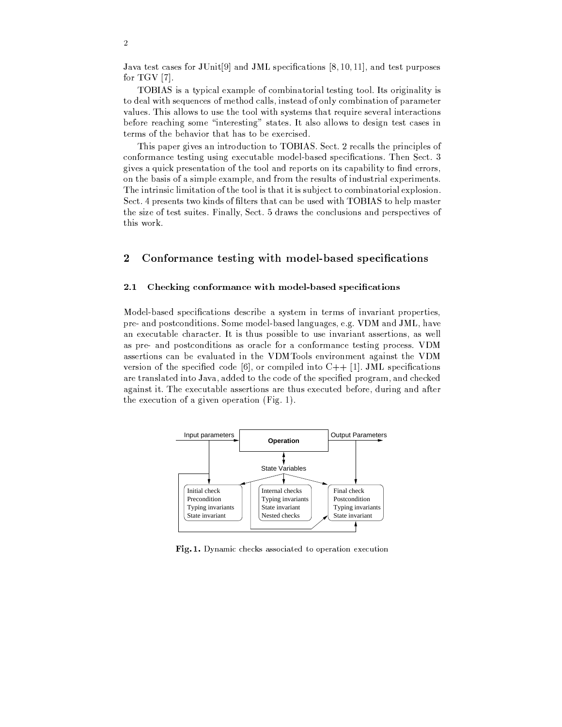Java test cases for JUnit[9] and JML specifications  $[8, 10, 11]$ , and test purposes for TGV [7].

TOBIAS is a typical example of combinatorial testing tool. Its originality is to deal with sequences of method calls, instead of only combination of parameter values. This allows to use the tool with systems that require several interactions before reaching some "interesting" states. It also allows to design test cases in terms of the behavior that has to be exercised.

This paper gives an introduction to TOBIAS. Sect. 2 recalls the principles of conformance testing using executable model-based specifications. Then Sect. 3 gives a quick presentation of the tool and reports on its capability to find errors, on the basis of a simple example, and from the results of industrial experiments. The intrinsic limitation of the tool is that it is subject to combinatorial explosion. Sect. 4 presents two kinds of filters that can be used with TOBIAS to help master the size of test suites. Finally, Sect. 5 draws the conclusions and perspectives of this work.

#### $\overline{2}$ Conformance testing with model-based specifications

#### $2.1\,$ Checking conformance with model-based specifications

Model-based specifications describe a system in terms of invariant properties, pre- and postconditions. Some model-based languages, e.g. VDM and JML, have an executable character. It is thus possible to use invariant assertions, as well as pre- and postconditions as oracle for a conformance testing process. VDM assertions can be evaluated in the VDMTools environment against the VDM version of the specified code [6], or compiled into  $C++$  [1]. JML specifications are translated into Java, added to the code of the specified program, and checked against it. The executable assertions are thus executed before, during and after the execution of a given operation (Fig. 1).



Fig. 1. Dynamic checks associated to operation execution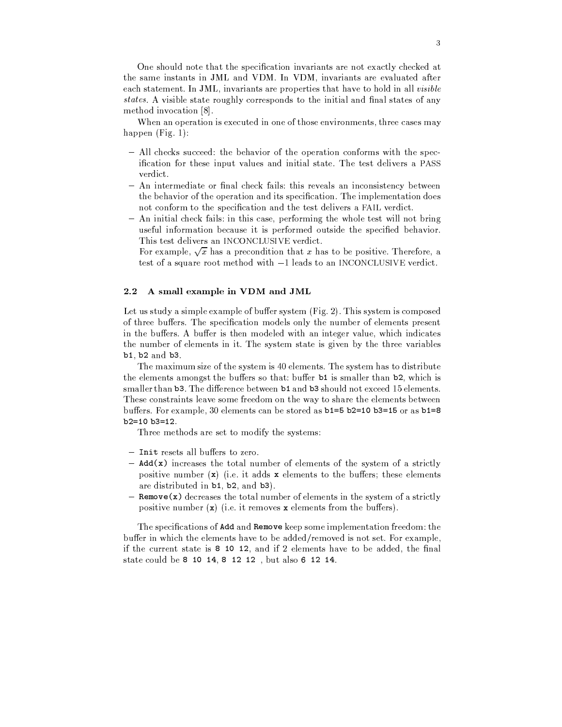One should note that the specification invariants are not exactly checked at the same instants in JML and VDM. In VDM, invariants are evaluated after each statement. In JML, invariants are properties that have to hold in all *visible* states. A visible state roughly corresponds to the initial and final states of any method invocation  $[8]$ .

When an operation is executed in one of those environments, three cases may happen  $(Fig. 1)$ :

- All checks succeed: the behavior of the operation conforms with the specification for these input values and initial state. The test delivers a PASS verdict
- An intermediate or final check fails: this reveals an inconsistency between the behavior of the operation and its specification. The implementation does not conform to the specification and the test delivers a FAIL verdict.
- An initial check fails: in this case, performing the whole test will not bring useful information because it is performed outside the specified behavior. This test delivers an INCONCLUSIVE verdict.

For example,  $\sqrt{x}$  has a precondition that x has to be positive. Therefore, a test of a square root method with -1 leads to an INCONCLUSIVE verdict.

#### $2.2$ A small example in VDM and JML

Let us study a simple example of buffer system (Fig. 2). This system is composed of three buffers. The specification models only the number of elements present in the buffers. A buffer is then modeled with an integer value, which indicates the number of elements in it. The system state is given by the three variables b1, b2 and b3.

The maximum size of the system is 40 elements. The system has to distribute the elements amongst the buffers so that: buffer **b1** is smaller than **b2**, which is smaller than b3. The difference between b1 and b3 should not exceed 15 elements. These constraints leave some freedom on the way to share the elements between buffers. For example, 30 elements can be stored as b1=5 b2=10 b3=15 or as b1=8  $b2=10 b3=12$ 

Three methods are set to modify the systems:

- Init resets all buffers to zero.
- $-$  Add(x) increases the total number of elements of the system of a strictly positive number  $(x)$  (i.e. it adds x elements to the buffers; these elements are distributed in b1, b2, and b3).
- Remove(x) decreases the total number of elements in the system of a strictly positive number  $(x)$  (i.e. it removes x elements from the buffers).

The specifications of **Add** and **Remove** keep some implementation freedom: the buffer in which the elements have to be added/removed is not set. For example, if the current state is 8 10 12, and if 2 elements have to be added, the final state could be 8 10 14, 8 12 12, but also 6 12 14.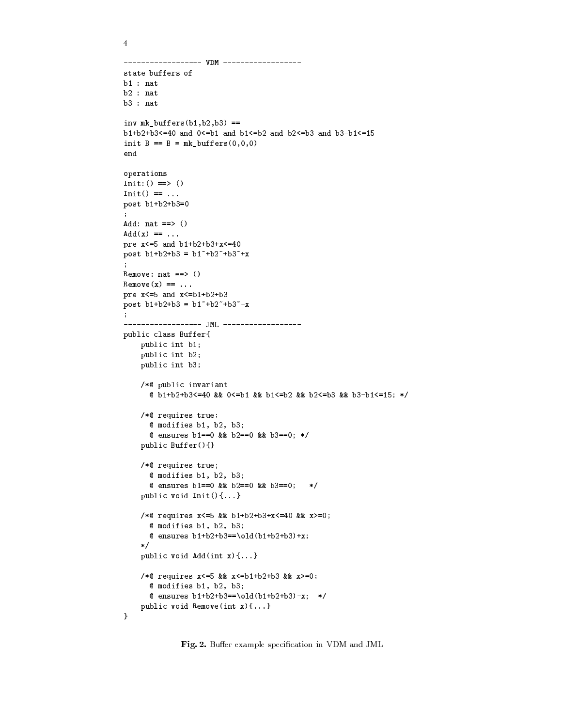```
state buffers of
b1 : nat
b2 : nat
b3 : natinv mk_buffers(b1, b2, b3) ==
b1+b2+b3<-40 and 0<-b1 and b1<-b2 and b2<-b3 and b3-b1<-15init B == B = mk_buffers(0,0,0)endoperations
Init: () ==> ()Init() == ...post b1+b2+b3=0
Add: nat ==( )Add(x) == ...pre x<=5 and b1+b2+b3+x<=40post b1+b2+b3 = b1^*+b2^*+b3^*+xRemove: nat == ()
Remove(x) == ...pre x < =5 and x < =b1+b2+b3post b1+b2+b3 = b1^{\circ}+b2<sup>\circ</sup>+b3<sup>\circ</sup>-x
\ddot{\phantom{1}}----------------- JML -----------------
public class Buffer{
    public int b1;
    public int b2;
    public int b3;
    /*0 public invariant
      0 b1+b2+b3<=40 && 0<=b1 && b1<=b2 && b2<=b3 && b3-b1<=15; */
    /*@ requires true;
      @ modifies b1, b2, b3;
      0 ensures b1==0 && b2==0 && b3==0; */
    public Buffer() {}
    /*@ requires true;
      @ modifies b1, b2, b3;
      0 ensures b1==0 && b2==0 && b3==0; */
    public void Init() \{... \}/*0 requires x < -5 && b1+b2+b3+x <= 40 && x>=0;
      @ modifies b1, b2, b3;
      0 ensures b1+b2+b3 == \odot d(b1+b2+b3) + x;\ast/public void Add(int x){...}
    /*0 requires x \le -5 && x \le -b1 + b2 + b3 && x \ge -0;
      @ modifies b1, b2, b3;
      0 ensures b1+b2+b3 == \old(b1+b2+b3) - x; *public void Remove(int x){...}
\rightarrow
```
 $\overline{4}$ 

Fig. 2. Buffer example specification in VDM and JML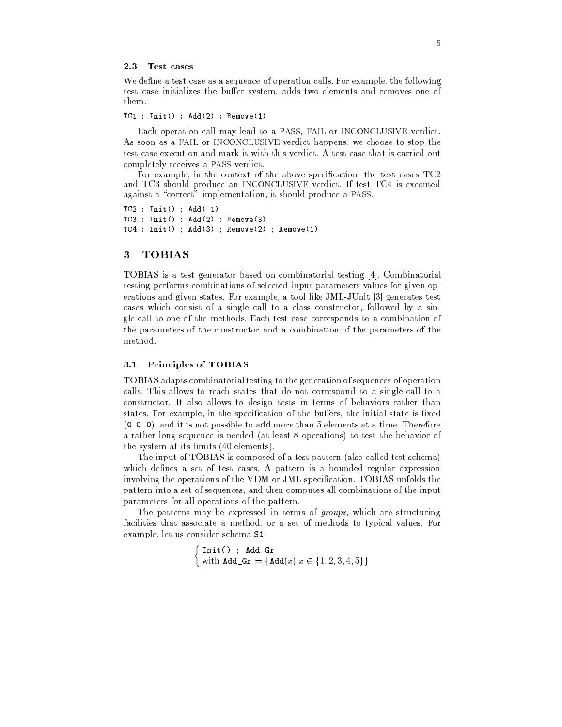#### 2.3 Test cases

We define a test case as a sequence of operation calls. For example, the following test case initializes the buffer system, adds two elements and removes one of them.

 $TC1$  :  $Init()$ ;  $Add(2)$ ;  $Remove(1)$ 

Each operation call may lead to a PASS, FAIL or INCONCLUSIVE verdict. As soon as a FAIL or INCONCLUSIVE verdict happens, we choose to stop the test case execution and mark it with this verdict. A test case that is carried out completely receives a PASS verdict.

For example, in the context of the above specification, the test cases TC2 and TC3 should produce an INCONCLUSIVE verdict. If test TC4 is executed against a "correct" implementation, it should produce a PASS.

```
TC2 : Init(); Add(-1)TC3 : Init(); Add(2); Remove(3)TC4 : Init(); Add(3); Remove(2); Remove(1)
```
#### **TOBIAS** 3

TOBIAS is a test generator based on combinatorial testing [4]. Combinatorial testing performs combinations of selected input parameters values for given operations and given states. For example, a tool like JML-JUnit [3] generates test cases which consist of a single call to a class constructor, followed by a single call to one of the methods. Each test case corresponds to a combination of the parameters of the constructor and a combination of the parameters of the method.

#### Principles of TOBIAS  $3.1$

TOBIAS adapts combinatorial testing to the generation of sequences of operation calls. This allows to reach states that do not correspond to a single call to a constructor. It also allows to design tests in terms of behaviors rather than states. For example, in the specification of the buffers, the initial state is fixed (0 0 0), and it is not possible to add more than 5 elements at a time. Therefore a rather long sequence is needed (at least 8 operations) to test the behavior of the system at its limits (40 elements).

The input of TOBIAS is composed of a test pattern (also called test schema) which defines a set of test cases. A pattern is a bounded regular expression involving the operations of the VDM or JML specification. TOBIAS unfolds the pattern into a set of sequences, and then computes all combinations of the input parameters for all operations of the pattern.

The patterns may be expressed in terms of groups, which are structuring facilities that associate a method, or a set of methods to typical values. For example, let us consider schema S1:

 $\begin{array}{l} \left\{ \begin{array}{l} \mathtt{Init()}\end{array};\ \mathtt{Add\_Gr} \\ \text{with }\mathtt{Add\_Gr}=\{\mathtt{Add}(x)|x\in\{1,2,3,4,5\}\} \end{array} \right.$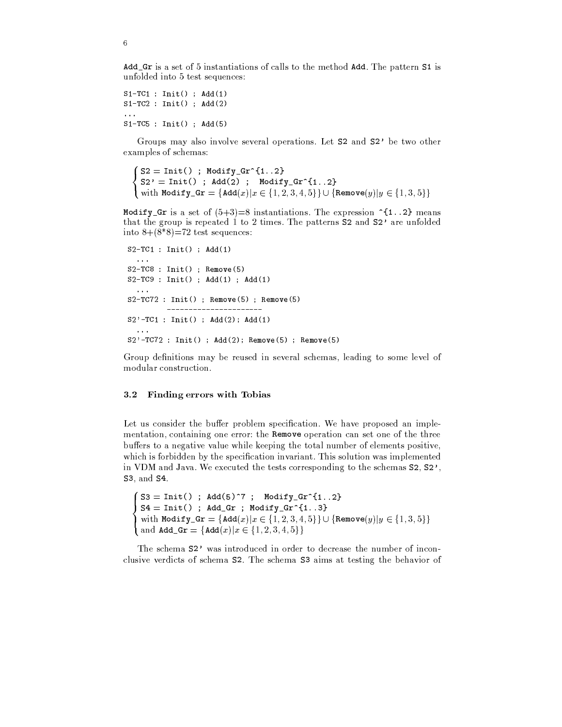Add Gr is a set of 5 instantiations of calls to the method Add. The pattern S1 is unfolded into 5 test sequences:

```
S1-TC1 : Init() ; Add(1)S1-TC2: Init(); Add(2)S1-TC5 : Init() ; Add(5)
```
Groups may also involve several operations. Let S2 and S2' be two other examples of schemas:

```
S2 = Int(); Modify_Gr^{1..2}
S2' = Int(); Add(2); Modify_Gr^{1}...2}
with Modify_Gr = {Add(x)|x \in {1, 2, 3, 4, 5}} \cup {Remove(y)|y \in {1, 3, 5}}
```
Modify Gr is a set of  $(5+3)=8$  instantiations. The expression  $\uparrow$  (1..2) means that the group is repeated 1 to 2 times. The patterns **S2** and **S2**' are unfolded into  $8+(8*8)=72$  test sequences:

```
S2-TC1 : Init() ; Add(1)\sim 100S2-TC8: Init(); Remove(5)
S2-TC9 : Init() ; Add(1) ; Add(1)\sim 10 .
S2-TC72 : Init() ; Remove(5) ; Remove(5)
          _____________________
S2'-TC1 : Init() ; Add(2); Add(1)\sim \sim \simS2'-TC72 : Init() ; Add(2); Remove(5) ; Remove(5)
```
Group definitions may be reused in several schemas, leading to some level of modular construction.

#### $3.2$ Finding errors with Tobias

Let us consider the buffer problem specification. We have proposed an implementation, containing one error: the Remove operation can set one of the three buffers to a negative value while keeping the total number of elements positive. which is forbidden by the specification invariant. This solution was implemented in VDM and Java. We executed the tests corresponding to the schemas  $S2, S2'$ . \$3, and \$4.

```
S3 = Int(); Add(5)^7; Modify_Gr^{1}...2\begin{cases}\nS4 = \text{Init}(); \text{ Add\_Gr}; \text{ Modify\_Gr^{-11..3}} \\
\text{with Modify\_Gr} = \{Add(x) | x \in \{1, 2, 3, 4, 5\}\} \cup \{\text{Remove}(y) | y \in \{1, 3, 5\}\} \\
\text{and Add\_Gr} = \{Add(x) | x \in \{1, 2, 3, 4, 5\}\}\n\end{cases}
```
The schema  $S2'$  was introduced in order to decrease the number of inconclusive verdicts of schema S2. The schema S3 aims at testing the behavior of

6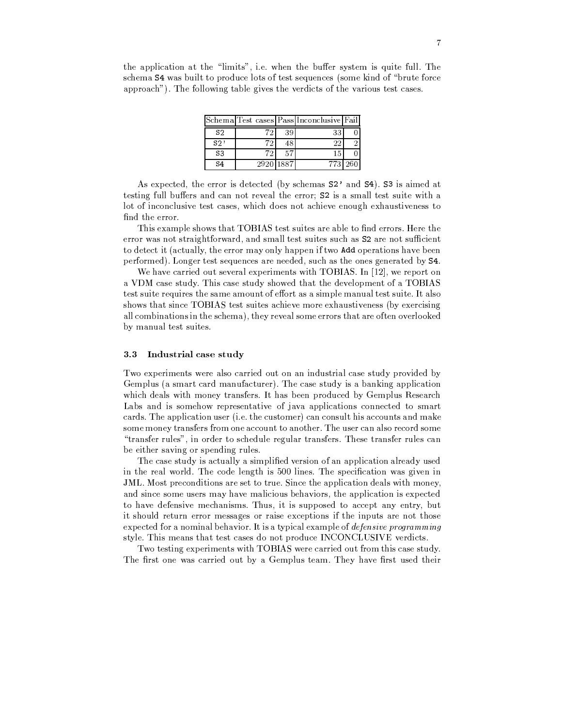the application at the "limits", i.e. when the buffer system is quite full. The schema S4 was built to produce lots of test sequences (some kind of "brute force" approach"). The following table gives the verdicts of the various test cases.

|     |           | Schema Test_cases Pass Inconclusive Fail |         |
|-----|-----------|------------------------------------------|---------|
| S2  | 39        | 33                                       |         |
| S2' |           | 22                                       |         |
| S3  | 57        | 15                                       |         |
| S4  | 2920 1887 |                                          | 773 260 |

As expected, the error is detected (by schemas  $S2'$  and  $S4$ ). S3 is aimed at testing full buffers and can not reveal the error; S2 is a small test suite with a lot of inconclusive test cases, which does not achieve enough exhaustiveness to find the error.

This example shows that TOBIAS test suites are able to find errors. Here the error was not straightforward, and small test suites such as S2 are not sufficient to detect it (actually, the error may only happen if two Add operations have been performed). Longer test sequences are needed, such as the ones generated by S4.

We have carried out several experiments with TOBIAS. In [12], we report on a VDM case study. This case study showed that the development of a TOBIAS test suite requires the same amount of effort as a simple manual test suite. It also shows that since TOBIAS test suites achieve more exhaustiveness (by exercising all combinations in the schema), they reveal some errors that are often overlooked by manual test suites.

#### 3.3 Industrial case study

Two experiments were also carried out on an industrial case study provided by Gemplus (a smart card manufacturer). The case study is a banking application which deals with money transfers. It has been produced by Gemplus Research Labs and is somehow representative of java applications connected to smart cards. The application user (i.e. the customer) can consult his accounts and make some money transfers from one account to another. The user can also record some "transfer rules", in order to schedule regular transfers. These transfer rules can be either saving or spending rules.

The case study is actually a simplified version of an application already used in the real world. The code length is 500 lines. The specification was given in JML. Most preconditions are set to true. Since the application deals with money, and since some users may have malicious behaviors, the application is expected to have defensive mechanisms. Thus, it is supposed to accept any entry, but it should return error messages or raise exceptions if the inputs are not those expected for a nominal behavior. It is a typical example of *defensive programming* style. This means that test cases do not produce INCONCLUSIVE verdicts.

Two testing experiments with TOBIAS were carried out from this case study. The first one was carried out by a Gemplus team. They have first used their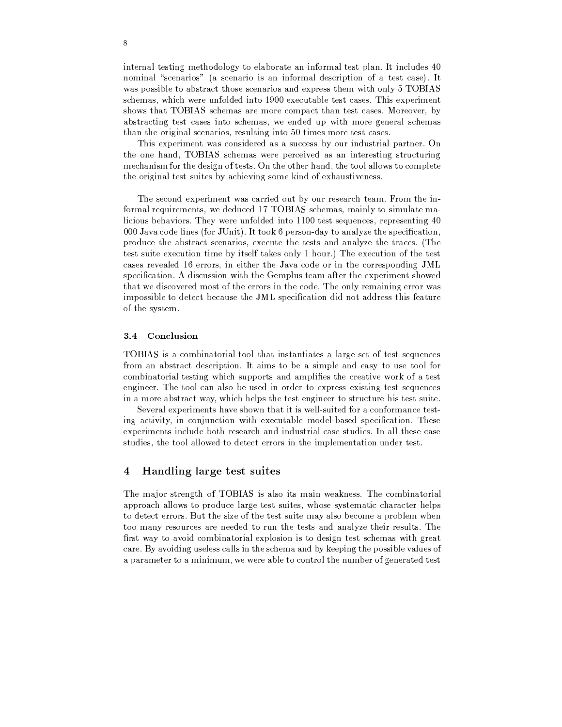internal testing methodology to elaborate an informal test plan. It includes 40 nominal "scenarios" (a scenario is an informal description of a test case). It was possible to abstract those scenarios and express them with only 5 TOBIAS schemas, which were unfolded into 1900 executable test cases. This experiment shows that TOBIAS schemas are more compact than test cases. Moreover, by abstracting test cases into schemas, we ended up with more general schemas than the original scenarios, resulting into 50 times more test cases.

This experiment was considered as a success by our industrial partner. On the one hand, TOBIAS schemas were perceived as an interesting structuring mechanism for the design of tests. On the other hand, the tool allows to complete the original test suites by achieving some kind of exhaustiveness.

The second experiment was carried out by our research team. From the informal requirements, we deduced 17 TOBIAS schemas, mainly to simulate malicious behaviors. They were unfolded into 1100 test sequences, representing 40 000 Java code lines (for JUnit). It took 6 person-day to analyze the specification, produce the abstract scenarios, execute the tests and analyze the traces. (The test suite execution time by itself takes only 1 hour.) The execution of the test cases revealed 16 errors, in either the Java code or in the corresponding JML specification. A discussion with the Gemplus team after the experiment showed that we discovered most of the errors in the code. The only remaining error was impossible to detect because the JML specification did not address this feature of the system.

#### 3.4 Conclusion

TOBIAS is a combinatorial tool that instantiates a large set of test sequences from an abstract description. It aims to be a simple and easy to use tool for combinatorial testing which supports and amplifies the creative work of a test engineer. The tool can also be used in order to express existing test sequences in a more abstract way, which helps the test engineer to structure his test suite.

Several experiments have shown that it is well-suited for a conformance testing activity, in conjunction with executable model-based specification. These experiments include both research and industrial case studies. In all these case studies, the tool allowed to detect errors in the implementation under test.

#### $\overline{\mathbf{4}}$ Handling large test suites

The major strength of TOBIAS is also its main weakness. The combinatorial approach allows to produce large test suites, whose systematic character helps to detect errors. But the size of the test suite may also become a problem when too many resources are needed to run the tests and analyze their results. The first way to avoid combinatorial explosion is to design test schemas with great care. By avoiding useless calls in the schema and by keeping the possible values of a parameter to a minimum, we were able to control the number of generated test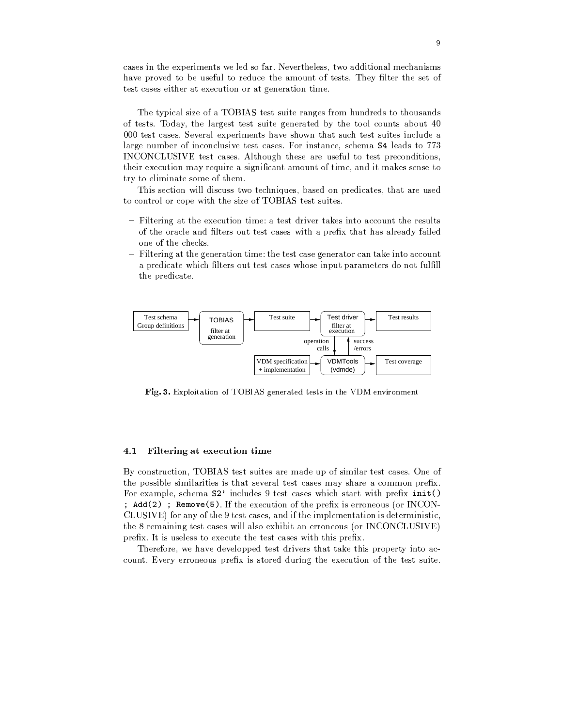cases in the experiments we led so far. Nevertheless, two additional mechanisms have proved to be useful to reduce the amount of tests. They filter the set of test cases either at execution or at generation time.

The typical size of a TOBIAS test suite ranges from hundreds to thousands of tests. Today, the largest test suite generated by the tool counts about 40 000 test cases. Several experiments have shown that such test suites include a large number of inconclusive test cases. For instance, schema S4 leads to 773 INCONCLUSIVE test cases. Although these are useful to test preconditions, their execution may require a significant amount of time, and it makes sense to try to eliminate some of them.

This section will discuss two techniques, based on predicates, that are used to control or cope with the size of TOBIAS test suites.

- Filtering at the execution time: a test driver takes into account the results of the oracle and filters out test cases with a prefix that has already failed one of the checks.
- $-$  Filtering at the generation time: the test case generator can take into account a predicate which filters out test cases whose input parameters do not fulfill the predicate.



Fig. 3. Exploitation of TOBIAS generated tests in the VDM environment

#### Filtering at execution time  $4.1$

By construction, TOBIAS test suites are made up of similar test cases. One of the possible similarities is that several test cases may share a common prefix. For example, schema  $S2'$  includes 9 test cases which start with prefix init() ; Add(2) ; Remove(5). If the execution of the prefix is erroneous (or INCON-CLUSIVE) for any of the 9 test cases, and if the implementation is deterministic, the 8 remaining test cases will also exhibit an erroneous (or INCONCLUSIVE) prefix. It is useless to execute the test cases with this prefix.

Therefore, we have developped test drivers that take this property into account. Every erroneous prefix is stored during the execution of the test suite.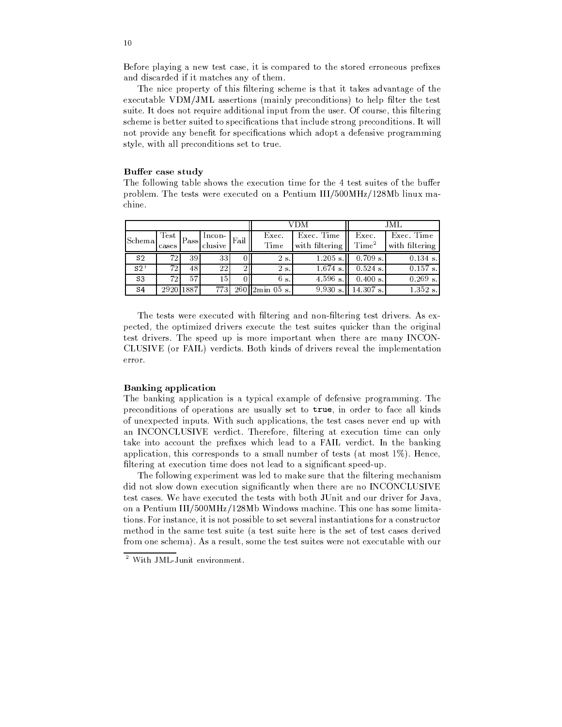Before playing a new test case, it is compared to the stored erroneous prefixes and discarded if it matches any of them.

The nice property of this filtering scheme is that it takes advantage of the executable VDM/JML assertions (mainly preconditions) to help filter the test suite. It does not require additional input from the user. Of course, this filtering scheme is better suited to specifications that include strong preconditions. It will not provide any benefit for specifications which adopt a defensive programming style, with all preconditions set to true.

### Buffer case study

The following table shows the execution time for the 4 test suites of the buffer problem. The tests were executed on a Pentium III/500MHz/128Mb linux machine.

|                |       |           | /DM     |      | JML                |                |                   |                |
|----------------|-------|-----------|---------|------|--------------------|----------------|-------------------|----------------|
| Schemal        | Test  | Pass      | lncon-  | Fail | Exec.              | Exec. Time     | Exec.             | Exec. Time     |
|                | cases |           | clusive |      | Time               | with filtering | Time <sup>2</sup> | with filtering |
| S <sub>2</sub> | 72    | 39        | 33      |      | 2s                 | $1.205$ s.     | $0.709$ s.        | $0.134$ s.     |
| S2'            | 72    | 48        | 22      |      | 2s                 | $1.674$ s.     | $0.524$ s.        | $0.157$ s.     |
| S3             | 72    | 57        | 15      |      | 6 s.               | 4.596 s.       | 0.400 s.          | $0.269$ s.     |
| S <sub>4</sub> |       | 2920 1887 | 773     |      | $260$   2min 05 s. | 9.930 s.       | 14.307 s.         | $1.352$ s.     |

The tests were executed with filtering and non-filtering test drivers. As expected, the optimized drivers execute the test suites quicker than the original test drivers. The speed up is more important when there are many INCON-CLUSIVE (or FAIL) verdicts. Both kinds of drivers reveal the implementation error.

### **Banking application**

The banking application is a typical example of defensive programming. The preconditions of operations are usually set to true, in order to face all kinds of unexpected inputs. With such applications, the test cases never end up with an INCONCLUSIVE verdict. Therefore, filtering at execution time can only take into account the prefixes which lead to a FAIL verdict. In the banking application, this corresponds to a small number of tests (at most  $1\%$ ). Hence, filtering at execution time does not lead to a significant speed-up.

The following experiment was led to make sure that the filtering mechanism did not slow down execution significantly when there are no INCONCLUSIVE test cases. We have executed the tests with both JUnit and our driver for Java, on a Pentium III/500MHz/128Mb Windows machine. This one has some limitations. For instance, it is not possible to set several instantiations for a constructor method in the same test suite (a test suite here is the set of test cases derived from one schema). As a result, some the test suites were not executable with our

<sup>&</sup>lt;sup>2</sup> With JML-Junit environment.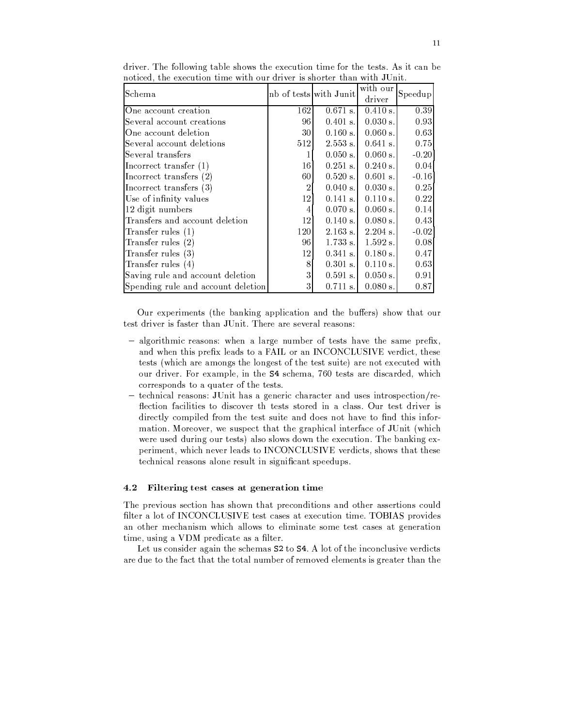| $\operatorname{Schema}$            |                | nb of tests with Junit | with our<br>driver | $S$ peedup |
|------------------------------------|----------------|------------------------|--------------------|------------|
| One account creation               | 162            | $0.671$ s.             | $0.410$ s.         | 0.39       |
| Several account creations          | 96             | $0.401$ s.             | $0.030$ s.         | 0.93       |
| One account deletion               | 30             | 0.160 s.               | 0.060 s.           | 0.63       |
| Several account deletions          | 512            | $2.553$ s.             | $0.641$ s.         | 0.75       |
| Several transfers                  | 1              | 0.050 s.               | 0.060 s.           | $-0.20$    |
| Incorrect transfer (1)             | 16             | $0.251$ s.             | 0.240 s.           | 0.04       |
| Incorrect transfers (2)            | 60             | $0.520$ s.             | $0.601$ s.         | $-0.16$    |
| Incorrect transfers (3)            | $\overline{2}$ | 0.040 s.               | $0.030$ s.         | 0.25       |
| Use of infinity values             | 12             | 0.141 s.               | 0.110 s.           | 0.22       |
| 12 digit numbers                   | 4              | 0.070 s.l              | $0.060$ s.         | 0.14       |
| Transfers and account deletion     | 12             | 0.140 s.               | 0.080 s.           | 0.43       |
| Transfer rules (1)                 | 120            | $2.163$ s.             | $2.204$ s.         | $-0.02$    |
| Transfer rules (2)                 | 96             | $1.733$ s.             | $1.592$ s.         | 0.08       |
| Transfer rules (3)                 | 12             | $0.341$ s.             | $0.180$ s.         | 0.47       |
| Transfer rules (4)                 | 8              | $0.301$ s.             | $0.110$ s.         | 0.63       |
| Saving rule and account deletion   | 3              | 0.591 s.               | $0.050$ s.         | 0.91       |
| Spending rule and account deletion | 3              | $0.711$ s.             | $0.080$ s.         | 0.87       |

driver. The following table shows the execution time for the tests. As it can be noticed, the execution time with our driver is shorter than with JUnit.

Our experiments (the banking application and the buffers) show that our test driver is faster than JUnit. There are several reasons:

- algorithmic reasons: when a large number of tests have the same prefix, and when this prefix leads to a FAIL or an INCONCLUSIVE verdict, these tests (which are amongs the longest of the test suite) are not executed with our driver. For example, in the S4 schema, 760 tests are discarded, which corresponds to a quater of the tests.
- technical reasons: JUnit has a generic character and uses introspection/reflection facilities to discover the tests stored in a class. Our test driver is directly compiled from the test suite and does not have to find this information. Moreover, we suspect that the graphical interface of JUnit (which were used during our tests) also slows down the execution. The banking experiment, which never leads to INCONCLUSIVE verdicts, shows that these technical reasons alone result in significant speedups.

#### 4.2 Filtering test cases at generation time

The previous section has shown that preconditions and other assertions could filter a lot of INCONCLUSIVE test cases at execution time. TOBIAS provides an other mechanism which allows to eliminate some test cases at generation time, using a VDM predicate as a filter.

Let us consider again the schemas S2 to S4. A lot of the inconclusive verdicts are due to the fact that the total number of removed elements is greater than the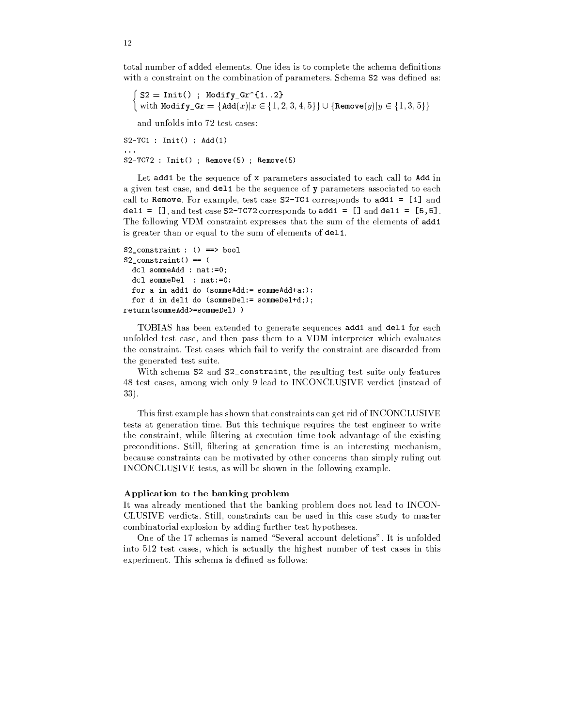total number of added elements. One idea is to complete the schema definitions with a constraint on the combination of parameters. Schema S2 was defined as:

 $\int$  S2 = Init() ; Modify\_Gr^{1..2}  $\{$  with Modify\_Gr =  $\{Add(x)|x \in \{1, 2, 3, 4, 5\}\} \cup \{Remove(y)|y \in \{1, 3, 5\}\}$ and unfolds into 72 test cases:  $S2-TC1$  : Init() ;  $Add(1)$ 

 $\cdots$  $S2-TC72$  : Init() ; Remove(5) ; Remove(5)

Let add1 be the sequence of x parameters associated to each call to Add in a given test case, and dell be the sequence of y parameters associated to each call to Remove. For example, test case  $S2-TC1$  corresponds to add1 = [1] and del1 =  $\Box$ , and test case S2-TC72 corresponds to add1 =  $\Box$  and del1 =  $\Box$ 5,5. The following VDM constraint expresses that the sum of the elements of add1 is greater than or equal to the sum of elements of dell.

```
S2_constraint : () ==> bool
S2_{constant}() == (dcl sommeAdd : nat:=0;
  dcl sommeDel : nat:=0;
  for a in add1 do (sommeAdd: = sommeAdd+a;);
  for d in del1 do (sommeDel:= sommeDel+d;);
return(sommeAdd>=sommeDel))
```
TOBIAS has been extended to generate sequences add1 and del1 for each unfolded test case, and then pass them to a VDM interpreter which evaluates the constraint. Test cases which fail to verify the constraint are discarded from the generated test suite.

With schema S2 and S2\_constraint, the resulting test suite only features 48 test cases, among wich only 9 lead to INCONCLUSIVE verdict (instead of  $33).$ 

This first example has shown that constraints can get rid of INCONCLUSIVE tests at generation time. But this technique requires the test engineer to write the constraint, while filtering at execution time took advantage of the existing preconditions. Still, filtering at generation time is an interesting mechanism, because constraints can be motivated by other concerns than simply ruling out INCONCLUSIVE tests, as will be shown in the following example.

### Application to the banking problem

It was already mentioned that the banking problem does not lead to INCON-CLUSIVE verdicts. Still, constraints can be used in this case study to master combinatorial explosion by adding further test hypotheses.

One of the 17 schemas is named "Several account deletions". It is unfolded into 512 test cases, which is actually the highest number of test cases in this experiment. This schema is defined as follows:

12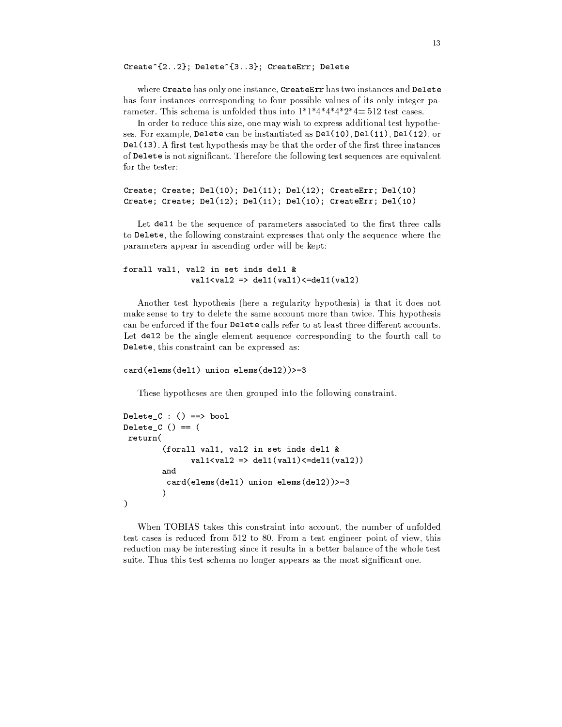Create<sup>{</sup>{2..2}; Delete<sup>{2}</sup>{3..3}; CreateErr; Delete

where Create has only one instance, CreateErr has two instances and Delete has four instances corresponding to four possible values of its only integer parameter. This schema is unfolded thus into  $1*1*4*4*4*2*4=512$  test cases.

In order to reduce this size, one may wish to express additional test hypotheses. For example, Delete can be instantiated as Del(10), Del(11), Del(12), or  $Del(13)$ . A first test hypothesis may be that the order of the first three instances of Delete is not significant. Therefore the following test sequences are equivalent for the tester:

```
Create; Create; Del(10); Del(11); Del(12); CreateErr; Del(10)
Create; Create; Del(12); Del(11); Del(10); CreateErr; Del(10)
```
Let del 1 be the sequence of parameters associated to the first three calls to **Delete**, the following constraint expresses that only the sequence where the parameters appear in ascending order will be kept:

```
forall val1, val2 in set inds del1 &
               val1 \le val2 => del1(vall) \le del1(vall)
```
Another test hypothesis (here a regularity hypothesis) is that it does not make sense to try to delete the same account more than twice. This hypothesis can be enforced if the four Delete calls refer to at least three different accounts. Let delleft be the single element sequence corresponding to the fourth call to Delete, this constraint can be expressed as:

### $card(elements(del1)$  union elems $(de12))$  >=3

These hypotheses are then grouped into the following constraint.

```
Delete<sub>C</sub> : () == > boolDelete<sub>C</sub>() == (return(
          (forall val1, val2 in set inds del1 &
                  val1 \le val2 => del1(vall) \le del1(vall)and
           card(elements(del1) union elems(de12)) >= 3\lambda\mathcal{E}
```
When TOBIAS takes this constraint into account, the number of unfolded test cases is reduced from 512 to 80. From a test engineer point of view, this reduction may be interesting since it results in a better balance of the whole test suite. Thus this test schema no longer appears as the most significant one.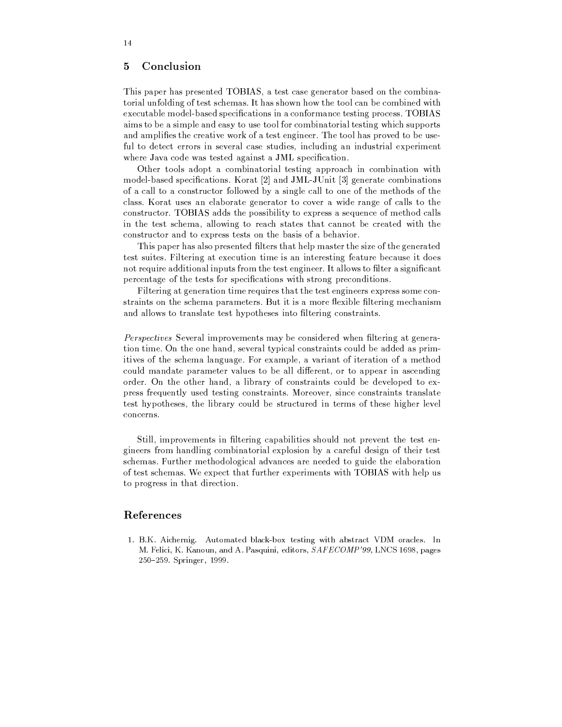#### Conclusion  $\overline{5}$

This paper has presented TOBIAS, a test case generator based on the combinatorial unfolding of test schemas. It has shown how the tool can be combined with executable model-based specifications in a conformance testing process. TOBIAS aims to be a simple and easy to use tool for combinatorial testing which supports and amplifies the creative work of a test engineer. The tool has proved to be useful to detect errors in several case studies, including an industrial experiment where Java code was tested against a JML specification.

Other tools adopt a combinatorial testing approach in combination with model-based specifications. Korat [2] and JML-JUnit [3] generate combinations of a call to a constructor followed by a single call to one of the methods of the class. Korat uses an elaborate generator to cover a wide range of calls to the constructor. TOBIAS adds the possibility to express a sequence of method calls in the test schema, allowing to reach states that cannot be created with the constructor and to express tests on the basis of a behavior.

This paper has also presented filters that help master the size of the generated test suites. Filtering at execution time is an interesting feature because it does not require additional inputs from the test engineer. It allows to filter a significant percentage of the tests for specifications with strong preconditions.

Filtering at generation time requires that the test engineers express some constraints on the schema parameters. But it is a more flexible filtering mechanism and allows to translate test hypotheses into filtering constraints.

Perspectives Several improvements may be considered when filtering at generation time. On the one hand, several typical constraints could be added as primitives of the schema language. For example, a variant of iteration of a method could mandate parameter values to be all different, or to appear in ascending order. On the other hand, a library of constraints could be developed to express frequently used testing constraints. Moreover, since constraints translate test hypotheses, the library could be structured in terms of these higher level concerns.

Still, improvements in filtering capabilities should not prevent the test engineers from handling combinatorial explosion by a careful design of their test schemas. Further methodological advances are needed to guide the elaboration of test schemas. We expect that further experiments with TOBIAS with help us to progress in that direction.

## References

1. B.K. Aichernig. Automated black-box testing with abstract VDM oracles. In M. Felici, K. Kanoun, and A. Pasquini, editors, SAFECOMP'99, LNCS 1698, pages 250-259. Springer, 1999.